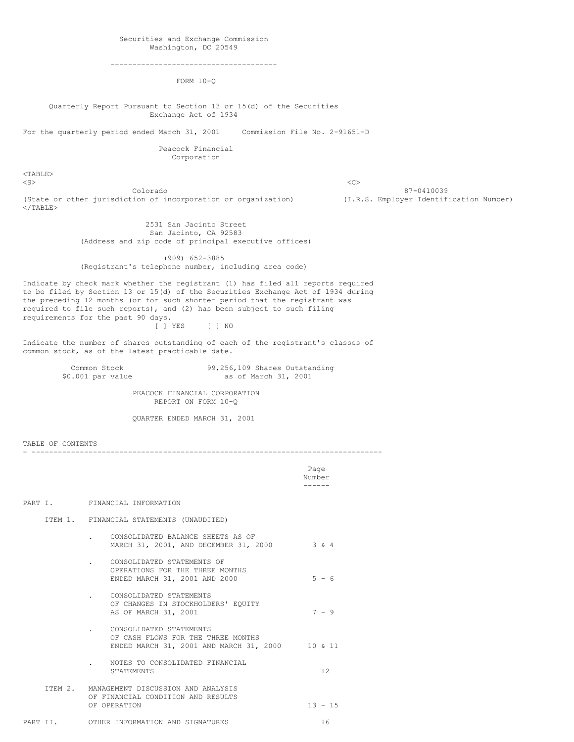--------------------------------------

FORM 10-Q

Quarterly Report Pursuant to Section 13 or 15(d) of the Securities Exchange Act of 1934

For the quarterly period ended March 31, 2001 Commission File No. 2-91651-D

Peacock Financial Corporation

 $<$ TABLE> <S> <C>

Colorado 87-0410039 (State or other jurisdiction of incorporation or organization) (I.R.S. Employer Identification Number)  $<$ /TABLE $>$ 

2531 San Jacinto Street San Jacinto, CA 92583 (Address and zip code of principal executive offices)

(909) 652-3885 (Registrant's telephone number, including area code)

Indicate by check mark whether the registrant (1) has filed all reports required to be filed by Section 13 or 15(d) of the Securities Exchange Act of 1934 during the preceding 12 months (or for such shorter period that the registrant was required to file such reports), and (2) has been subject to such filing requirements for the past 90 days. [ ] YES [ ] NO

Indicate the number of shares outstanding of each of the registrant's classes of common stock, as of the latest practicable date.

Common Stock 99,256,109 Shares Outstanding<br>\$0.001 par value as of March 31, 2001 as of March 31, 2001

> PEACOCK FINANCIAL CORPORATION REPORT ON FORM 10-Q

QUARTER ENDED MARCH 31, 2001

TABLE OF CONTENTS

- --------------------------------------------------------------------------------

Page Number ------

PART I. FINANCIAL INFORMATION

ITEM 1. FINANCIAL STATEMENTS (UNAUDITED)

- . CONSOLIDATED BALANCE SHEETS AS OF MARCH 31, 2001, AND DECEMBER 31, 2000 3 & 4 . CONSOLIDATED STATEMENTS OF
- OPERATIONS FOR THE THREE MONTHS ENDED MARCH 31, 2001 AND 2000 5 - 6
- . CONSOLIDATED STATEMENTS OF CHANGES IN STOCKHOLDERS' EQUITY AS OF MARCH 31, 2001 7 - 9
- . CONSOLIDATED STATEMENTS OF CASH FLOWS FOR THE THREE MONTHS ENDED MARCH 31, 2001 AND MARCH 31, 2000 10 & 11
- . NOTES TO CONSOLIDATED FINANCIAL STATEMENTS 12
- ITEM 2. MANAGEMENT DISCUSSION AND ANALYSIS OF FINANCIAL CONDITION AND RESULTS OF OPERATION 13 - 15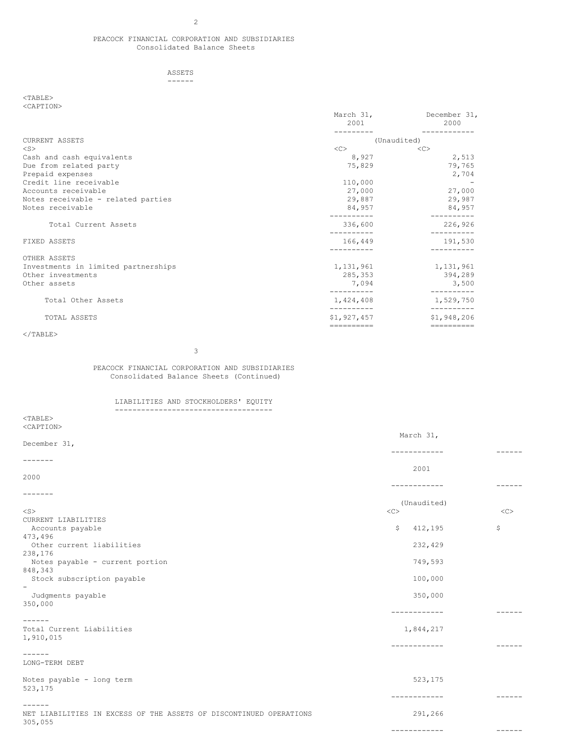### PEACOCK FINANCIAL CORPORATION AND SUBSIDIARIES Consolidated Balance Sheets

### ASSETS ------

### $<$ TABLE $>$ <CAPTION>

| NUZIL LILUIV                        | March 31,<br>2001 | December 31,<br>2000 |
|-------------------------------------|-------------------|----------------------|
|                                     |                   |                      |
| CURRENT ASSETS                      |                   | (Unaudited)          |
| $<$ S $>$                           | <<                | $<<$ $C$             |
| Cash and cash equivalents           | 8,927             | 2,513                |
| Due from related party              | 75,829            | 79,765               |
| Prepaid expenses                    |                   | 2,704                |
| Credit line receivable              | 110,000           |                      |
| Accounts receivable                 | 27,000            | 27,000               |
| Notes receivable - related parties  | 29,887            | 29,987               |
| Notes receivable                    | 84,957            | 84,957               |
| Total Current Assets                | 336,600           | 226,926              |
| FIXED ASSETS                        | 166,449           | 191,530              |
| OTHER ASSETS                        |                   |                      |
| Investments in limited partnerships | 1,131,961         | 1,131,961            |
| Other investments                   | 285,353           | 394,289              |
| Other assets                        | 7,094             | 3,500                |
| Total Other Assets                  | 1,424,408         | 1,529,750            |
| TOTAL ASSETS                        | \$1,927,457       | \$1,948,206          |
|                                     | ==========        | ==========           |

# $<$ /TABLE>

3

# PEACOCK FINANCIAL CORPORATION AND SUBSIDIARIES Consolidated Balance Sheets (Continued)

# LIABILITIES AND STOCKHOLDERS' EQUITY ------------------------------------

| $<$ TABLE>                                                         |                  |               |
|--------------------------------------------------------------------|------------------|---------------|
| <caption></caption>                                                |                  |               |
|                                                                    | March 31,        |               |
| December 31,                                                       | ------------     | $- - - - - -$ |
| -------                                                            |                  |               |
|                                                                    | 2001             |               |
| 2000                                                               |                  |               |
|                                                                    | ------------     | ------        |
| -------                                                            |                  |               |
|                                                                    | (Unaudited)      |               |
| $<$ S $>$                                                          | $<<$ $<$ $<$ $>$ | <<            |
| CURRENT LIABILITIES                                                |                  |               |
| Accounts payable                                                   | 412,195<br>\$    | \$            |
| 473,496                                                            |                  |               |
| Other current liabilities                                          | 232,429          |               |
| 238,176<br>Notes payable - current portion                         | 749,593          |               |
| 848,343                                                            |                  |               |
| Stock subscription payable                                         | 100,000          |               |
| $\overline{\phantom{a}}$                                           |                  |               |
| Judgments payable                                                  | 350,000          |               |
| 350,000                                                            |                  |               |
|                                                                    | ------------     | ------        |
| ------                                                             |                  |               |
| Total Current Liabilities                                          | 1,844,217        |               |
| 1,910,015                                                          |                  |               |
|                                                                    | ----------       | ------        |
| -------                                                            |                  |               |
| LONG-TERM DEBT                                                     |                  |               |
| Notes payable - long term                                          | 523,175          |               |
| 523,175                                                            |                  |               |
|                                                                    | ------------     | $- - - - - -$ |
| $- - - - - - -$                                                    |                  |               |
| NET LIABILITIES IN EXCESS OF THE ASSETS OF DISCONTINUED OPERATIONS | 291,266          |               |
| 305,055                                                            |                  |               |
|                                                                    | ------------     |               |
|                                                                    |                  |               |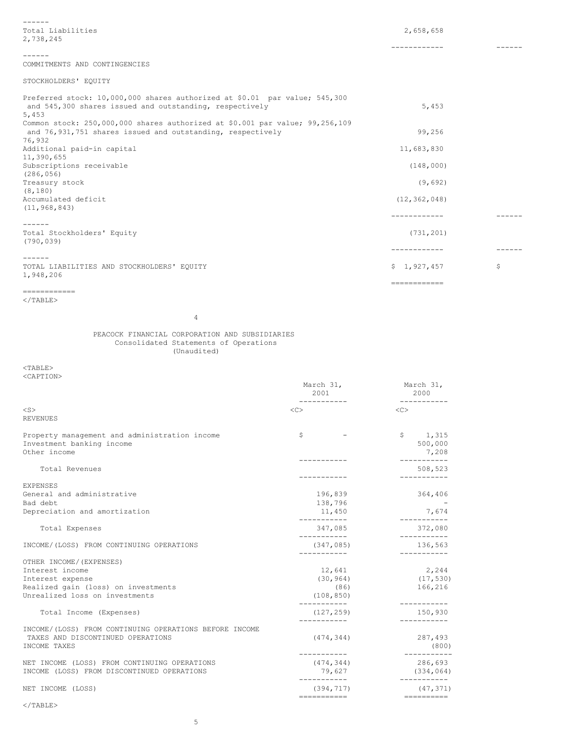| $- - - - - -$                                                                |                |               |
|------------------------------------------------------------------------------|----------------|---------------|
| Total Liabilities                                                            | 2,658,658      |               |
| 2,738,245                                                                    |                |               |
|                                                                              | ------------   |               |
| ------                                                                       |                |               |
| COMMITMENTS AND CONTINGENCIES                                                |                |               |
| STOCKHOLDERS' EQUITY                                                         |                |               |
| Preferred stock: 10,000,000 shares authorized at \$0.01 par value; 545,300   |                |               |
| and 545,300 shares issued and outstanding, respectively<br>5,453             | 5,453          |               |
| Common stock: 250,000,000 shares authorized at \$0.001 par value; 99,256,109 |                |               |
| and 76,931,751 shares issued and outstanding, respectively                   | 99.256         |               |
| 76,932                                                                       |                |               |
| Additional paid-in capital                                                   | 11,683,830     |               |
| 11,390,655                                                                   |                |               |
| Subscriptions receivable                                                     | (148,000)      |               |
| (286, 056)                                                                   |                |               |
| Treasury stock                                                               | (9,692)        |               |
| (8, 180)                                                                     |                |               |
| Accumulated deficit                                                          | (12, 362, 048) |               |
| (11, 968, 843)                                                               | ------------   |               |
| $- - - - - -$                                                                |                |               |
| Total Stockholders' Equity                                                   | (731, 201)     |               |
| (790, 039)                                                                   |                |               |
|                                                                              | ------------   | $- - - - - -$ |
| $- - - - - - -$<br>TOTAL LIABILITIES AND STOCKHOLDERS' EQUITY                | \$1,927,457    | \$            |
| 1,948,206                                                                    |                |               |
|                                                                              | ============   |               |
| ------------<br>$<$ /TABLE>                                                  |                |               |

March 31, March 31, 2001 2000

4

PEACOCK FINANCIAL CORPORATION AND SUBSIDIARIES Consolidated Statements of Operations (Unaudited)

 $<$ TABLE $>$ <CAPTION>

| $<$ S $>$<br><b>REVENUES</b>                                                                                | $<\infty$                                 | $\langle C \rangle$                       |
|-------------------------------------------------------------------------------------------------------------|-------------------------------------------|-------------------------------------------|
| Property management and administration income<br>Investment banking income<br>Other income                  | \$                                        | $\mathsf{S}$<br>1,315<br>500,000<br>7,208 |
| Total Revenues                                                                                              |                                           | ----------<br>508,523<br>--------         |
| <b>EXPENSES</b><br>General and administrative<br>Bad debt                                                   | 196,839<br>138,796                        | 364,406                                   |
| Depreciation and amortization                                                                               | 11,450<br>------------                    | 7,674<br>----------                       |
| Total Expenses                                                                                              | 347,085<br>-----------                    | 372,080<br>-----------                    |
| INCOME/(LOSS) FROM CONTINUING OPERATIONS                                                                    | (347, 085)                                | 136,563                                   |
| OTHER INCOME/ (EXPENSES)                                                                                    |                                           |                                           |
| Interest income                                                                                             | 12,641                                    | 2,244                                     |
| Interest expense                                                                                            | (30, 964)                                 | (17, 530)                                 |
| Realized gain (loss) on investments                                                                         | (86)                                      | 166,216                                   |
| Unrealized loss on investments                                                                              | (108, 850)                                | -----------                               |
| Total Income (Expenses)                                                                                     | (127, 259)                                | 150,930                                   |
| INCOME/(LOSS) FROM CONTINUING OPERATIONS BEFORE INCOME<br>TAXES AND DISCONTINUED OPERATIONS<br>INCOME TAXES | (474, 344)<br>-----------                 | 287,493<br>(800)<br>$--------$            |
| NET INCOME (LOSS) FROM CONTINUING OPERATIONS<br>INCOME (LOSS) FROM DISCONTINUED OPERATIONS                  | (474, 344)<br>79,627                      | 286,693<br>(334, 064)                     |
| NET INCOME (LOSS)                                                                                           | -----------<br>(394, 717)<br>------------ | (47, 371)                                 |

 $<$ /TABLE>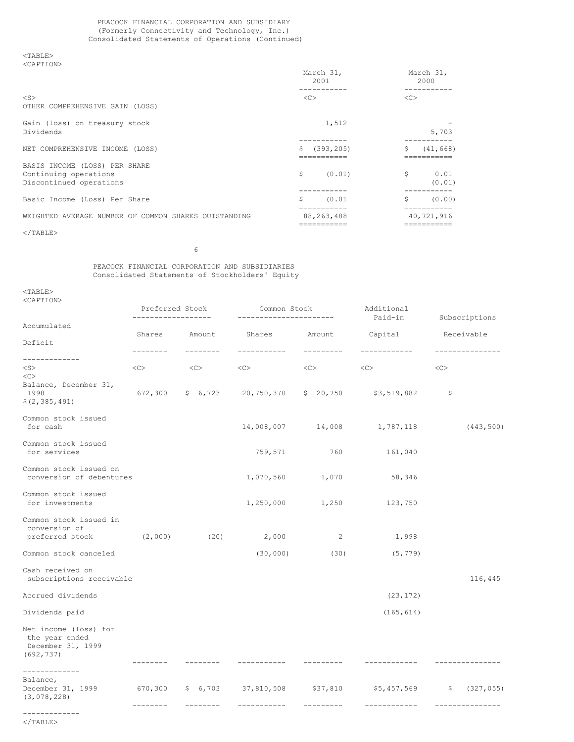# PEACOCK FINANCIAL CORPORATION AND SUBSIDIARY (Formerly Connectivity and Technology, Inc.) Consolidated Statements of Operations (Continued)

 $<$ TABLE> <CAPTION>

| ∼<br>.<br>×<br>$\sim$ | $\sim$ 14 $\sim$<br>٠<br>v<br>$\sim$ |  |
|-----------------------|--------------------------------------|--|
|                       |                                      |  |
|                       |                                      |  |

| NUILL LEUIV                                                                       | March 31,<br>2001                         | March 31,<br>2000                      |
|-----------------------------------------------------------------------------------|-------------------------------------------|----------------------------------------|
| $<$ S><br>OTHER COMPREHENSIVE GAIN (LOSS)                                         | <<                                        | <<                                     |
| Gain (loss) on treasury stock<br>Dividends                                        | 1,512                                     | 5,703                                  |
| NET COMPREHENSIVE INCOME (LOSS)                                                   | (393, 205)<br>\$<br>===========           | \$<br>(41, 668)                        |
| BASIS INCOME (LOSS) PER SHARE<br>Continuing operations<br>Discontinued operations | S<br>(0.01)                               | Ŝ<br>0.01<br>(0.01)                    |
| Basic Income (Loss) Per Share                                                     | Ŝ<br>(0.01)                               | \$<br>(0.00)                           |
| WEIGHTED AVERAGE NUMBER OF COMMON SHARES OUTSTANDING                              | ==========<br>88, 263, 488<br>=========== | ==========<br>40,721,916<br>========== |
| $<$ /TABLE>                                                                       |                                           |                                        |

6

# PEACOCK FINANCIAL CORPORATION AND SUBSIDIARIES Consolidated Statements of Stockholders' Equity

<TABLE> <CAPTION>

|                                                                            | Preferred Stock<br>_____________ |                           |                              | Additional<br>Common Stock<br>Paid-in<br>---------------------- |                                                               |    |                            |  | Subscriptions |  |  |
|----------------------------------------------------------------------------|----------------------------------|---------------------------|------------------------------|-----------------------------------------------------------------|---------------------------------------------------------------|----|----------------------------|--|---------------|--|--|
| Accumulated                                                                |                                  |                           |                              |                                                                 |                                                               |    |                            |  |               |  |  |
| Deficit                                                                    | --------                         | Shares Amount<br>-------- | Shares Amount<br>----------- | ---------                                                       | Capital<br>------------                                       |    | Receivable<br>. <u>.</u> . |  |               |  |  |
| -------------                                                              |                                  |                           |                              |                                                                 |                                                               |    |                            |  |               |  |  |
| $<$ S $>$<br><<                                                            | <<>                              | < <c></c>                 | $\langle C \rangle$          | $<<$ $>$                                                        | $<<$ $>$                                                      | << |                            |  |               |  |  |
| Balance, December 31,<br>1998<br>\$(2, 385, 491)                           |                                  |                           |                              |                                                                 | $672,300$ \$ $6,723$ $20,750,370$ \$ $20,750$ \$3,519,882     | -S |                            |  |               |  |  |
| Common stock issued<br>for cash                                            |                                  |                           |                              |                                                                 | 14,008,007 14,008 1,787,118                                   |    | (443, 500)                 |  |               |  |  |
| Common stock issued<br>for services                                        |                                  |                           | 759,571                      | 760                                                             | 161,040                                                       |    |                            |  |               |  |  |
| Common stock issued on<br>conversion of debentures                         |                                  |                           | 1,070,560                    | 1,070                                                           | 58,346                                                        |    |                            |  |               |  |  |
| Common stock issued<br>for investments                                     |                                  |                           | 1,250,000                    | 1,250                                                           | 123,750                                                       |    |                            |  |               |  |  |
| Common stock issued in<br>conversion of<br>preferred stock                 | (2,000)                          | (20)                      | 2,000                        | 2                                                               | 1,998                                                         |    |                            |  |               |  |  |
| Common stock canceled                                                      |                                  |                           | (30, 000)                    | (30)                                                            | (5, 779)                                                      |    |                            |  |               |  |  |
| Cash received on<br>subscriptions receivable                               |                                  |                           |                              |                                                                 |                                                               |    | 116,445                    |  |               |  |  |
| Accrued dividends                                                          |                                  |                           |                              |                                                                 | (23, 172)                                                     |    |                            |  |               |  |  |
| Dividends paid                                                             |                                  |                           |                              |                                                                 | (165, 614)                                                    |    |                            |  |               |  |  |
| Net income (loss) for<br>the year ended<br>December 31, 1999<br>(692, 737) |                                  |                           |                              |                                                                 |                                                               |    |                            |  |               |  |  |
| -------------                                                              | --------                         | --------                  | -----------                  | ---------                                                       | ------------                                                  |    | ---------------            |  |               |  |  |
| Balance,<br>December 31, 1999<br>(3,078,228)                               |                                  |                           |                              |                                                                 | 670,300 \$ 6,703 37,810,508 \$37,810 \$5,457,569 \$ (327,055) |    |                            |  |               |  |  |
| -------------                                                              | --------                         | $- - - - - - - -$         | -----------                  | ---------                                                       | ------------                                                  |    | ---------------            |  |               |  |  |

 $<$ /TABLE>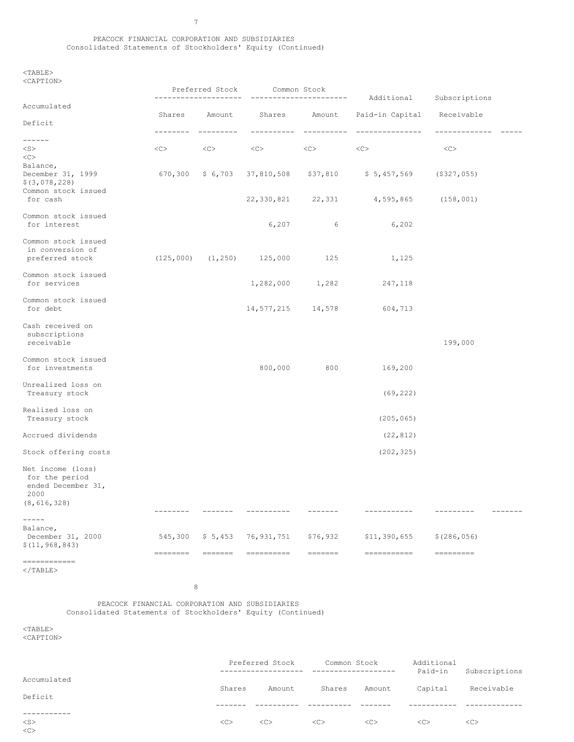# PEACOCK FINANCIAL CORPORATION AND SUBSIDIARIES Consolidated Statements of Stockholders' Equity (Continued)

 $<sub>TABLE</sub>$ </sub> <CAPTION>

|                                                                                    |                                                                                                                                                                                                                                                                                                                                                                                                                                                                                           | Preferred Stock                        | Common Stock                    |                     | -----------------------                                                                                                                                                                                                                                                                                                                                                                                                                                                                               |                                |  |  |  |  |  |
|------------------------------------------------------------------------------------|-------------------------------------------------------------------------------------------------------------------------------------------------------------------------------------------------------------------------------------------------------------------------------------------------------------------------------------------------------------------------------------------------------------------------------------------------------------------------------------------|----------------------------------------|---------------------------------|---------------------|-------------------------------------------------------------------------------------------------------------------------------------------------------------------------------------------------------------------------------------------------------------------------------------------------------------------------------------------------------------------------------------------------------------------------------------------------------------------------------------------------------|--------------------------------|--|--|--|--|--|
| Accumulated                                                                        |                                                                                                                                                                                                                                                                                                                                                                                                                                                                                           | ---------------------<br>Shares Amount |                                 | Shares Amount       | Additional<br>Paid-in Capital Receivable                                                                                                                                                                                                                                                                                                                                                                                                                                                              | Subscriptions                  |  |  |  |  |  |
| Deficit                                                                            |                                                                                                                                                                                                                                                                                                                                                                                                                                                                                           |                                        |                                 |                     |                                                                                                                                                                                                                                                                                                                                                                                                                                                                                                       |                                |  |  |  |  |  |
| $- - - - - -$                                                                      | ---------                                                                                                                                                                                                                                                                                                                                                                                                                                                                                 | ----------                             | -----------                     | -----------         | ---------------                                                                                                                                                                                                                                                                                                                                                                                                                                                                                       | --------------                 |  |  |  |  |  |
| $<$ S $>$<br><<                                                                    | $<\infty$                                                                                                                                                                                                                                                                                                                                                                                                                                                                                 | $<<$ $<$ $<$ $>$                       | $<<$ $>$                        | $<<$ $>$            | $<<$ $<$ $>$                                                                                                                                                                                                                                                                                                                                                                                                                                                                                          | <<                             |  |  |  |  |  |
| Balance,<br>December 31, 1999<br>\$ (3,078,228)<br>Common stock issued<br>for cash |                                                                                                                                                                                                                                                                                                                                                                                                                                                                                           |                                        |                                 |                     | 670,300 \$6,703 37,810,508 \$37,810 \$5,457,569                                                                                                                                                                                                                                                                                                                                                                                                                                                       | $($ \$327,055)                 |  |  |  |  |  |
|                                                                                    |                                                                                                                                                                                                                                                                                                                                                                                                                                                                                           |                                        |                                 |                     | 22, 330, 821 22, 331 4, 595, 865                                                                                                                                                                                                                                                                                                                                                                                                                                                                      | (158, 001)                     |  |  |  |  |  |
| Common stock issued<br>for interest                                                |                                                                                                                                                                                                                                                                                                                                                                                                                                                                                           |                                        | 6,207                           | $6\overline{6}$     | 6,202                                                                                                                                                                                                                                                                                                                                                                                                                                                                                                 |                                |  |  |  |  |  |
| Common stock issued<br>in conversion of<br>preferred stock                         |                                                                                                                                                                                                                                                                                                                                                                                                                                                                                           |                                        | $(125,000)$ $(1,250)$ $125,000$ | 125                 | 1,125                                                                                                                                                                                                                                                                                                                                                                                                                                                                                                 |                                |  |  |  |  |  |
| Common stock issued<br>for services                                                |                                                                                                                                                                                                                                                                                                                                                                                                                                                                                           |                                        |                                 | 1,282,000 1,282     | 247,118                                                                                                                                                                                                                                                                                                                                                                                                                                                                                               |                                |  |  |  |  |  |
| Common stock issued<br>for debt                                                    |                                                                                                                                                                                                                                                                                                                                                                                                                                                                                           |                                        |                                 | 14,577,215 14,578   | 604,713                                                                                                                                                                                                                                                                                                                                                                                                                                                                                               |                                |  |  |  |  |  |
| Cash received on<br>subscriptions<br>receivable                                    |                                                                                                                                                                                                                                                                                                                                                                                                                                                                                           |                                        |                                 |                     |                                                                                                                                                                                                                                                                                                                                                                                                                                                                                                       | 199,000                        |  |  |  |  |  |
| Common stock issued<br>for investments                                             |                                                                                                                                                                                                                                                                                                                                                                                                                                                                                           |                                        | 800,000                         | 800                 | 169,200                                                                                                                                                                                                                                                                                                                                                                                                                                                                                               |                                |  |  |  |  |  |
| Unrealized loss on<br>Treasury stock                                               |                                                                                                                                                                                                                                                                                                                                                                                                                                                                                           |                                        |                                 |                     | (69, 222)                                                                                                                                                                                                                                                                                                                                                                                                                                                                                             |                                |  |  |  |  |  |
| Realized loss on<br>Treasury stock                                                 |                                                                                                                                                                                                                                                                                                                                                                                                                                                                                           |                                        |                                 |                     | (205, 065)                                                                                                                                                                                                                                                                                                                                                                                                                                                                                            |                                |  |  |  |  |  |
| Accrued dividends                                                                  |                                                                                                                                                                                                                                                                                                                                                                                                                                                                                           |                                        |                                 |                     | (22, 812)                                                                                                                                                                                                                                                                                                                                                                                                                                                                                             |                                |  |  |  |  |  |
| Stock offering costs                                                               |                                                                                                                                                                                                                                                                                                                                                                                                                                                                                           |                                        |                                 |                     | (202, 325)                                                                                                                                                                                                                                                                                                                                                                                                                                                                                            |                                |  |  |  |  |  |
| Net income (loss)<br>for the period<br>ended December 31,<br>2000<br>(8, 616, 328) |                                                                                                                                                                                                                                                                                                                                                                                                                                                                                           |                                        |                                 |                     |                                                                                                                                                                                                                                                                                                                                                                                                                                                                                                       |                                |  |  |  |  |  |
|                                                                                    | --------                                                                                                                                                                                                                                                                                                                                                                                                                                                                                  | $- - - - - - -$                        | -----------                     |                     | -----------                                                                                                                                                                                                                                                                                                                                                                                                                                                                                           | ---------<br>$- - - - - - - -$ |  |  |  |  |  |
| $- - - - -$<br>Balance,<br>December 31, 2000<br>\$(11, 968, 843)                   | 545,300<br>$\begin{tabular}{ll} \multicolumn{3}{l}{{\color{blue}\textbf{1}}}\\ \multicolumn{3}{l}{\textbf{2}}\\ \multicolumn{3}{l}{\textbf{3}}\\ \multicolumn{3}{l}{\textbf{4}}\\ \multicolumn{3}{l}{\textbf{5}}\\ \multicolumn{3}{l}{\textbf{6}}\\ \multicolumn{3}{l}{\textbf{7}}\\ \multicolumn{3}{l}{\textbf{8}}\\ \multicolumn{3}{l}{\textbf{9}}\\ \multicolumn{3}{l}{\textbf{1}}\\ \multicolumn{3}{l}{\textbf{1}}\\ \multicolumn{3}{l}{\textbf{1}}\\ \multicolumn{3}{l}{\textbf{1}}$ | \$5,453                                | 76,931,751<br>==========        | \$76,932<br>======= | \$11,390,655<br>$\begin{minipage}{0.9\linewidth} \begin{tabular}{l} \multicolumn{2}{c}{\textbf{m}} & \multicolumn{2}{c}{\textbf{m}} & \multicolumn{2}{c}{\textbf{m}} \\ \multicolumn{2}{c}{\textbf{m}} & \multicolumn{2}{c}{\textbf{m}} & \multicolumn{2}{c}{\textbf{m}} \\ \multicolumn{2}{c}{\textbf{m}} & \multicolumn{2}{c}{\textbf{m}} & \multicolumn{2}{c}{\textbf{m}} \\ \multicolumn{2}{c}{\textbf{m}} & \multicolumn{2}{c}{\textbf{m}} & \multicolumn{2}{c}{\textbf{m}} \\ \multicolumn{2}{$ | \$(286, 056)<br>=========      |  |  |  |  |  |
| ============<br>                                                                   |                                                                                                                                                                                                                                                                                                                                                                                                                                                                                           |                                        |                                 |                     |                                                                                                                                                                                                                                                                                                                                                                                                                                                                                                       |                                |  |  |  |  |  |

  |  |  |  |  |  |  ||  |  | 8 |  |  |  |  |  |
PEACOCK FINANCIAL CORPORATION AND SUBSIDIARIES Consolidated Statements of Stockholders' Equity (Continued)

 $<$ TABLE $>$ <CAPTION>

|             | Preferred Stock<br>------------------- |        | Common Stock<br>----------------- |        | Additional<br>Paid-in | Subscriptions |  |
|-------------|----------------------------------------|--------|-----------------------------------|--------|-----------------------|---------------|--|
| Accumulated | Shares                                 | Amount | Shares                            | Amount | Capital               | Receivable    |  |
| Deficit     |                                        |        |                                   |        |                       |               |  |
|             |                                        |        |                                   |        |                       |               |  |
| $<$ S $>$   | <<                                     | <<     | <<                                | <<     | <<                    | <<            |  |
| <<          |                                        |        |                                   |        |                       |               |  |

7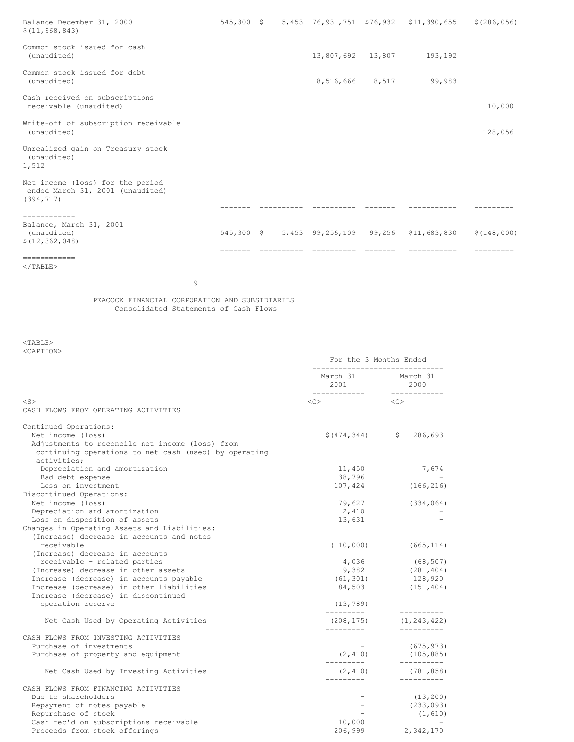| Balance December 31, 2000<br>\$(11, 968, 843)                                      |  |                    | 545,300 \$ 5,453 76,931,751 \$76,932 \$11,390,655 \$(286,056) |             |
|------------------------------------------------------------------------------------|--|--------------------|---------------------------------------------------------------|-------------|
| Common stock issued for cash<br>(unaudited)                                        |  | 13,807,692  13,807 | 193,192                                                       |             |
| Common stock issued for debt<br>(unaudited)                                        |  | 8,516,666 8,517    | 99,983                                                        |             |
| Cash received on subscriptions<br>receivable (unaudited)                           |  |                    |                                                               | 10,000      |
| Write-off of subscription receivable<br>(unaudited)                                |  |                    |                                                               | 128,056     |
| Unrealized gain on Treasury stock<br>(unaudited)<br>1,512                          |  |                    |                                                               |             |
| Net income (loss) for the period<br>ended March 31, 2001 (unaudited)<br>(394, 717) |  |                    |                                                               |             |
| .                                                                                  |  |                    |                                                               |             |
| Balance, March 31, 2001<br>(unaudited)<br>\$(12, 362, 048)                         |  |                    | 545,300 \$ 5,453 99,256,109 99,256 \$11,683,830               | \$(148,000) |
| ============                                                                       |  |                    |                                                               |             |

PEACOCK FINANCIAL CORPORATION AND SUBSIDIARIES Consolidated Statements of Cash Flows

9

<TABLE> <CAPTION>

 $<$ /TABLE>

| March 31 March 31<br>2000<br>-------------<br>-------------<br>< <c><br/><math>&lt;</math>S&gt;<br/><math>\langle C \rangle</math><br/>CASH FLOWS FROM OPERATING ACTIVITIES<br/>Continued Operations:<br/>Net income (loss)<br/><math>\$(474, 344)</math> <math>\$286, 693</math></c> |            |
|---------------------------------------------------------------------------------------------------------------------------------------------------------------------------------------------------------------------------------------------------------------------------------------|------------|
|                                                                                                                                                                                                                                                                                       |            |
|                                                                                                                                                                                                                                                                                       |            |
|                                                                                                                                                                                                                                                                                       |            |
|                                                                                                                                                                                                                                                                                       |            |
|                                                                                                                                                                                                                                                                                       |            |
| Adjustments to reconcile net income (loss) from<br>continuing operations to net cash (used) by operating<br>activities;                                                                                                                                                               |            |
| Depreciation and amortization<br>11,450                                                                                                                                                                                                                                               | 7,674      |
| 138,796<br>Bad debt expense                                                                                                                                                                                                                                                           |            |
| Loss on investment<br>107,424                                                                                                                                                                                                                                                         | (166, 216) |
| Discontinued Operations:                                                                                                                                                                                                                                                              |            |
| 79,627<br>Net income (loss)                                                                                                                                                                                                                                                           | (334, 064) |
| Depreciation and amortization<br>2,410                                                                                                                                                                                                                                                |            |
| Loss on disposition of assets<br>13,631                                                                                                                                                                                                                                               |            |
| Changes in Operating Assets and Liabilities:                                                                                                                                                                                                                                          |            |
| (Increase) decrease in accounts and notes                                                                                                                                                                                                                                             |            |
| receivable<br>(110, 000)                                                                                                                                                                                                                                                              | (665, 114) |
| (Increase) decrease in accounts                                                                                                                                                                                                                                                       |            |
| 4,036<br>(68, 507)<br>receivable - related parties                                                                                                                                                                                                                                    |            |
| $9,382$ (281,404)<br>(Increase) decrease in other assets                                                                                                                                                                                                                              |            |
| $(61, 301)$ 128,920<br>Increase (decrease) in accounts payable                                                                                                                                                                                                                        |            |
| Increase (decrease) in other liabilities<br>84,503                                                                                                                                                                                                                                    | (151, 404) |
| Increase (decrease) in discontinued                                                                                                                                                                                                                                                   |            |
| operation reserve<br>(13, 789)<br>----------<br>----------                                                                                                                                                                                                                            |            |
| (208, 175)<br>(1, 243, 422)<br>Net Cash Used by Operating Activities                                                                                                                                                                                                                  |            |
| CASH FLOWS FROM INVESTING ACTIVITIES                                                                                                                                                                                                                                                  |            |
| Purchase of investments<br>(675, 973)<br><b>Contract Contract State</b>                                                                                                                                                                                                               |            |
| (105, 885)<br>Purchase of property and equipment<br>(2, 410)                                                                                                                                                                                                                          |            |
| _________<br>___________                                                                                                                                                                                                                                                              |            |
| (2, 410)<br>(781, 858)<br>Net Cash Used by Investing Activities<br>----------                                                                                                                                                                                                         |            |
| CASH FLOWS FROM FINANCING ACTIVITIES                                                                                                                                                                                                                                                  |            |
| Due to shareholders                                                                                                                                                                                                                                                                   | (13, 200)  |
| Repayment of notes payable                                                                                                                                                                                                                                                            | (233, 093) |
| Repurchase of stock                                                                                                                                                                                                                                                                   | (1, 610)   |
| Cash rec'd on subscriptions receivable<br>10,000                                                                                                                                                                                                                                      |            |
| Proceeds from stock offerings<br>206,999<br>2,342,170                                                                                                                                                                                                                                 |            |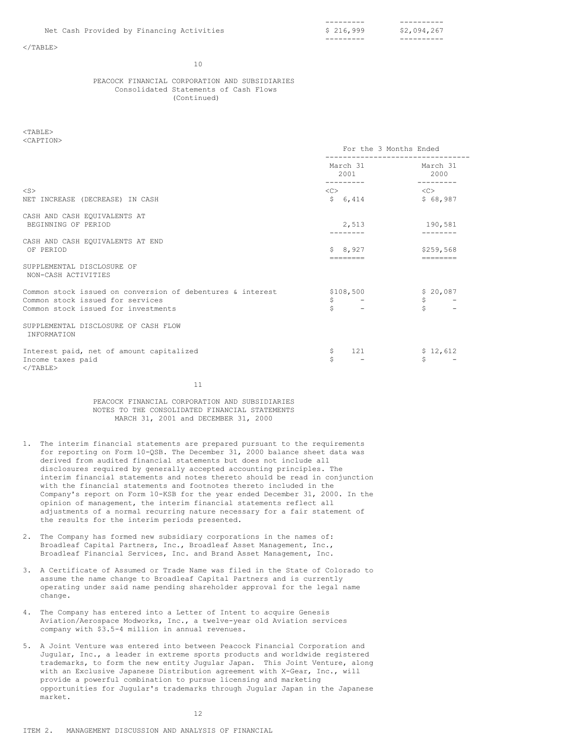$<$ /TABLE>

#### 10

### PEACOCK FINANCIAL CORPORATION AND SUBSIDIARIES Consolidated Statements of Cash Flows (Continued)

 $<$ TABLE> <CAPTION>

|                                                                                                                                       | For the 3 Months Ended                             |                                          |  |
|---------------------------------------------------------------------------------------------------------------------------------------|----------------------------------------------------|------------------------------------------|--|
|                                                                                                                                       | March 31<br>2001<br>---------                      | March 31<br>2000<br>---------            |  |
| $<$ S $>$<br>NET INCREASE (DECREASE) IN CASH                                                                                          | $\langle$ C> $\longrightarrow$<br>\$6,414          | < <c><br/>\$68,987</c>                   |  |
| CASH AND CASH EQUIVALENTS AT<br>BEGINNING OF PERIOD                                                                                   | 2,513                                              | 190,581                                  |  |
| CASH AND CASH EQUIVALENTS AT END<br>OF PERIOD                                                                                         | \$8,927<br>--------                                | \$259.568<br>========                    |  |
| SUPPLEMENTAL DISCLOSURE OF<br>NON-CASH ACTIVITIES                                                                                     |                                                    |                                          |  |
| Common stock issued on conversion of debentures & interest<br>Common stock issued for services<br>Common stock issued for investments | \$108,500<br>\$<br>and the state of the state<br>Ś | \$20,087<br>$\mathsf{S}$<br>$\mathsf{S}$ |  |
| SUPPLEMENTAL DISCLOSURE OF CASH FLOW<br>INFORMATION                                                                                   |                                                    |                                          |  |
| Interest paid, net of amount capitalized<br>Income taxes paid<br>                                                                     |                                                    |                                          |  |

 121\$.Ś | \$12,612\$ |11

PEACOCK FINANCIAL CORPORATION AND SUBSIDIARIES NOTES TO THE CONSOLIDATED FINANCIAL STATEMENTS MARCH 31, 2001 and DECEMBER 31, 2000

- 1. The interim financial statements are prepared pursuant to the requirements for reporting on Form 10-QSB. The December 31, 2000 balance sheet data was derived from audited financial statements but does not include all disclosures required by generally accepted accounting principles. The interim financial statements and notes thereto should be read in conjunction with the financial statements and footnotes thereto included in the Company's report on Form 10-KSB for the year ended December 31, 2000. In the opinion of management, the interim financial statements reflect all adjustments of a normal recurring nature necessary for a fair statement of the results for the interim periods presented.
- 2. The Company has formed new subsidiary corporations in the names of: Broadleaf Capital Partners, Inc., Broadleaf Asset Management, Inc., Broadleaf Financial Services, Inc. and Brand Asset Management, Inc.
- 3. A Certificate of Assumed or Trade Name was filed in the State of Colorado to assume the name change to Broadleaf Capital Partners and is currently operating under said name pending shareholder approval for the legal name change.
- 4. The Company has entered into a Letter of Intent to acquire Genesis Aviation/Aerospace Modworks, Inc., a twelve-year old Aviation services company with \$3.5-4 million in annual revenues.
- 5. A Joint Venture was entered into between Peacock Financial Corporation and Jugular, Inc., a leader in extreme sports products and worldwide registered trademarks, to form the new entity Jugular Japan. This Joint Venture, along with an Exclusive Japanese Distribution agreement with X-Gear, Inc., will provide a powerful combination to pursue licensing and marketing opportunities for Jugular's trademarks through Jugular Japan in the Japanese market.

12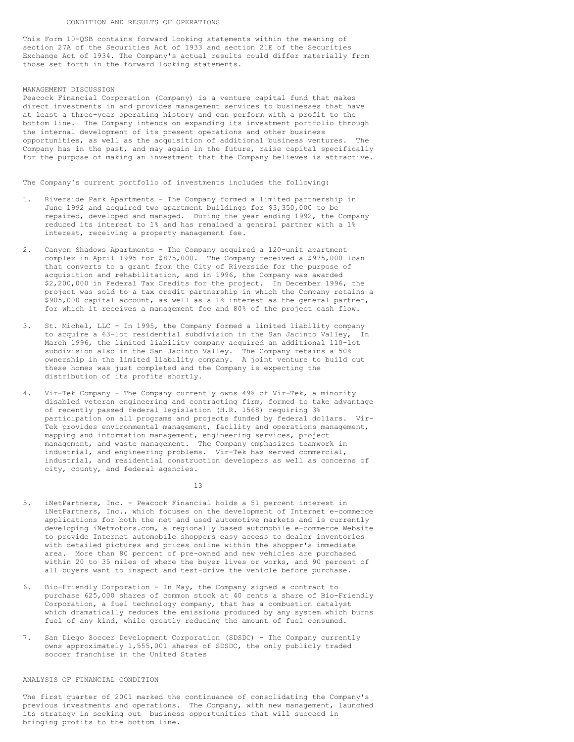This Form 10-QSB contains forward looking statements within the meaning of section 27A of the Securities Act of 1933 and section 21E of the Securities Exchange Act of 1934. The Company's actual results could differ materially from those set forth in the forward looking statements.

#### MANAGEMENT DISCUSSION

Peacock Financial Corporation (Company) is a venture capital fund that makes direct investments in and provides management services to businesses that have at least a three-year operating history and can perform with a profit to the bottom line. The Company intends on expanding its investment portfolio through the internal development of its present operations and other business opportunities, as well as the acquisition of additional business ventures. The Company has in the past, and may again in the future, raise capital specifically for the purpose of making an investment that the Company believes is attractive.

The Company's current portfolio of investments includes the following:

- 1. Riverside Park Apartments The Company formed a limited partnership in June 1992 and acquired two apartment buildings for \$3,350,000 to be repaired, developed and managed. During the year ending 1992, the Company reduced its interest to 1% and has remained a general partner with a 1% interest, receiving a property management fee.
- 2. Canyon Shadows Apartments The Company acquired a 120-unit apartment complex in April 1995 for \$875,000. The Company received a \$975,000 loan that converts to a grant from the City of Riverside for the purpose of acquisition and rehabilitation, and in 1996, the Company was awarded \$2,200,000 in Federal Tax Credits for the project. In December 1996, the project was sold to a tax credit partnership in which the Company retains a \$905,000 capital account, as well as a 1% interest as the general partner, for which it receives a management fee and 80% of the project cash flow.
- 3. St. Michel, LLC In 1995, the Company formed a limited liability company to acquire a 63-lot residential subdivision in the San Jacinto Valley, In March 1996, the limited liability company acquired an additional 110-lot subdivision also in the San Jacinto Valley. The Company retains a 50% ownership in the limited liability company. A joint venture to build out these homes was just completed and the Company is expecting the distribution of its profits shortly.
- Vir-Tek Company The Company currently owns 49% of Vir-Tek, a minority disabled veteran engineering and contracting firm, formed to take advantage of recently passed federal legislation (H.R. 1568) requiring 3% participation on all programs and projects funded by federal dollars. Vir-Tek provides environmental management, facility and operations management, mapping and information management, engineering services, project management, and waste management. The Company emphasizes teamwork in industrial, and engineering problems. Vir-Tek has served commercial, industrial, and residential construction developers as well as concerns of city, county, and federal agencies.

13

- 5. iNetPartners, Inc. Peacock Financial holds a 51 percent interest in iNetPartners, Inc., which focuses on the development of Internet e-commerce applications for both the net and used automotive markets and is currently developing iNetmotors.com, a regionally based automobile e-commerce Website to provide Internet automobile shoppers easy access to dealer inventories with detailed pictures and prices online within the shopper's immediate area. More than 80 percent of pre-owned and new vehicles are purchased within 20 to 35 miles of where the buyer lives or works, and 90 percent of all buyers want to inspect and test-drive the vehicle before purchase.
- 6. Bio-Friendly Corporation In May, the Company signed a contract to purchase 625,000 shares of common stock at 40 cents a share of Bio-Friendly Corporation, a fuel technology company, that has a combustion catalyst which dramatically reduces the emissions produced by any system which burns fuel of any kind, while greatly reducing the amount of fuel consumed.
- 7. San Diego Soccer Development Corporation (SDSDC) The Company currently owns approximately 1,555,001 shares of SDSDC, the only publicly traded soccer franchise in the United States

# ANALYSIS OF FINANCIAL CONDITION

The first quarter of 2001 marked the continuance of consolidating the Company's previous investments and operations. The Company, with new management, launched its strategy in seeking out business opportunities that will succeed in bringing profits to the bottom line.